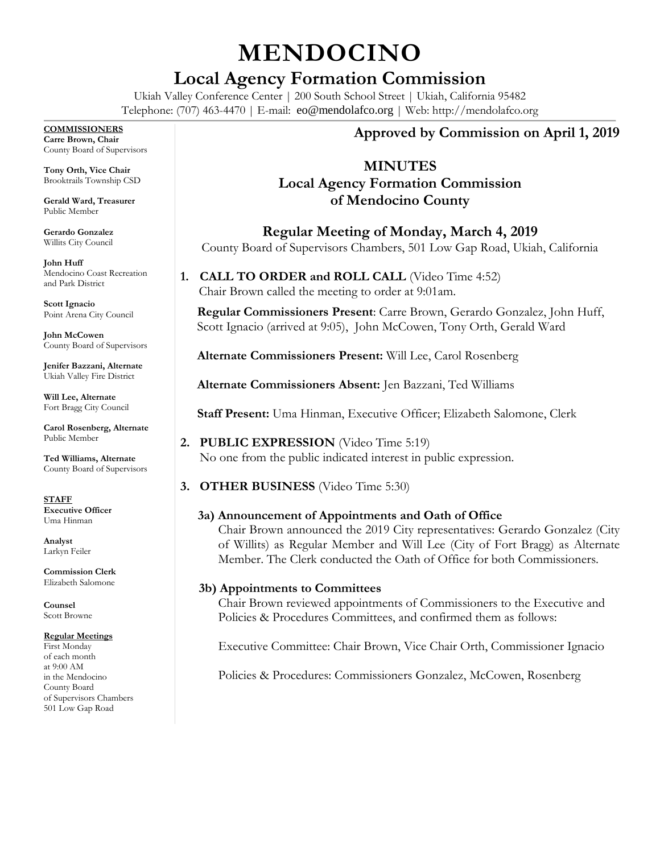# **MENDOCINO**

# **Local Agency Formation Commission**

Ukiah Valley Conference Center | 200 South School Street | Ukiah, California 95482 Telephone: (707) 463-4470 | E-mail: [eo@mendolafco.org](mailto:eo@mendolafco.org) | Web: http://mendolafco.org

#### **COMMISSIONERS**

**Carre Brown, Chair** County Board of Supervisors

**Tony Orth, Vice Chair** Brooktrails Township CSD

**Gerald Ward, Treasurer** Public Member

**Gerardo Gonzalez** Willits City Council

**John Huff**  Mendocino Coast Recreation and Park District

**Scott Ignacio** Point Arena City Council

**John McCowen** County Board of Supervisors

**Jenifer Bazzani, Alternate** Ukiah Valley Fire District

**Will Lee, Alternate** Fort Bragg City Council

**Carol Rosenberg, Alternate** Public Member

**Ted Williams, Alternate** County Board of Supervisors

**STAFF Executive Officer** Uma Hinman

**Analyst** Larkyn Feiler

**Commission Clerk** Elizabeth Salomone

**Counsel** Scott Browne

# **Regular Meetings**

First Monday of each month at 9:00 AM in the Mendocino County Board of Supervisors Chambers 501 Low Gap Road

# **Approved by Commission on April 1, 2019**

# **MINUTES**

# **Local Agency Formation Commission of Mendocino County**

**Regular Meeting of Monday, March 4, 2019** County Board of Supervisors Chambers, 501 Low Gap Road, Ukiah, California

**1. CALL TO ORDER and ROLL CALL** (Video Time 4:52) Chair Brown called the meeting to order at 9:01am.

**Regular Commissioners Present**: Carre Brown, Gerardo Gonzalez, John Huff, Scott Ignacio (arrived at 9:05), John McCowen, Tony Orth, Gerald Ward

**Alternate Commissioners Present:** Will Lee, Carol Rosenberg

**Alternate Commissioners Absent:** Jen Bazzani, Ted Williams

**Staff Present:** Uma Hinman, Executive Officer; Elizabeth Salomone, Clerk

**2. PUBLIC EXPRESSION** (Video Time 5:19) No one from the public indicated interest in public expression.

**3. OTHER BUSINESS** (Video Time 5:30)

# **3a) Announcement of Appointments and Oath of Office**

Chair Brown announced the 2019 City representatives: Gerardo Gonzalez (City of Willits) as Regular Member and Will Lee (City of Fort Bragg) as Alternate Member. The Clerk conducted the Oath of Office for both Commissioners.

#### **3b) Appointments to Committees**

Chair Brown reviewed appointments of Commissioners to the Executive and Policies & Procedures Committees, and confirmed them as follows:

Executive Committee: Chair Brown, Vice Chair Orth, Commissioner Ignacio

Policies & Procedures: Commissioners Gonzalez, McCowen, Rosenberg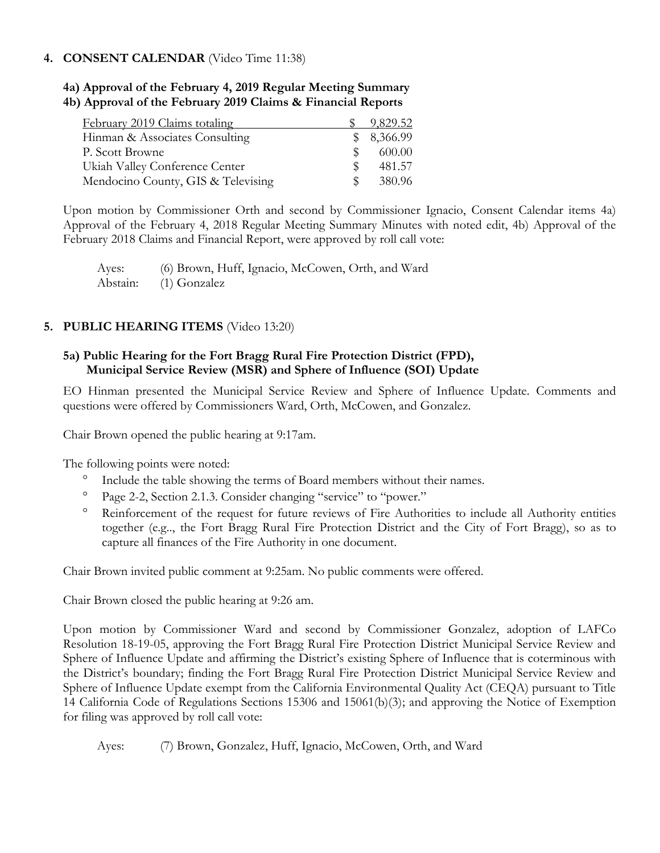#### **4. CONSENT CALENDAR** (Video Time 11:38)

# **4a) Approval of the February 4, 2019 Regular Meeting Summary**

**4b) Approval of the February 2019 Claims & Financial Reports**

| February 2019 Claims totaling      |               | 9,829.52   |
|------------------------------------|---------------|------------|
| Hinman & Associates Consulting     |               | \$8,366.99 |
| P. Scott Browne                    | <sup>SS</sup> | 600.00     |
| Ukiah Valley Conference Center     |               | 481.57     |
| Mendocino County, GIS & Televising | <sup>SS</sup> | 380.96     |

Upon motion by Commissioner Orth and second by Commissioner Ignacio, Consent Calendar items 4a) Approval of the February 4, 2018 Regular Meeting Summary Minutes with noted edit, 4b) Approval of the February 2018 Claims and Financial Report, were approved by roll call vote:

Ayes: (6) Brown, Huff, Ignacio, McCowen, Orth, and Ward Abstain: (1) Gonzalez

## **5. PUBLIC HEARING ITEMS** (Video 13:20)

## **5a) Public Hearing for the Fort Bragg Rural Fire Protection District (FPD), Municipal Service Review (MSR) and Sphere of Influence (SOI) Update**

EO Hinman presented the Municipal Service Review and Sphere of Influence Update. Comments and questions were offered by Commissioners Ward, Orth, McCowen, and Gonzalez.

Chair Brown opened the public hearing at 9:17am.

The following points were noted:

- <sup>o</sup> Include the table showing the terms of Board members without their names.
- Page 2-2, Section 2.1.3. Consider changing "service" to "power."
- <sup>o</sup> Reinforcement of the request for future reviews of Fire Authorities to include all Authority entities together (e.g.., the Fort Bragg Rural Fire Protection District and the City of Fort Bragg), so as to capture all finances of the Fire Authority in one document.

Chair Brown invited public comment at 9:25am. No public comments were offered.

Chair Brown closed the public hearing at 9:26 am.

Upon motion by Commissioner Ward and second by Commissioner Gonzalez, adoption of LAFCo Resolution 18-19-05, approving the Fort Bragg Rural Fire Protection District Municipal Service Review and Sphere of Influence Update and affirming the District's existing Sphere of Influence that is coterminous with the District's boundary; finding the Fort Bragg Rural Fire Protection District Municipal Service Review and Sphere of Influence Update exempt from the California Environmental Quality Act (CEQA) pursuant to Title 14 California Code of Regulations Sections 15306 and 15061(b)(3); and approving the Notice of Exemption for filing was approved by roll call vote:

Ayes: (7) Brown, Gonzalez, Huff, Ignacio, McCowen, Orth, and Ward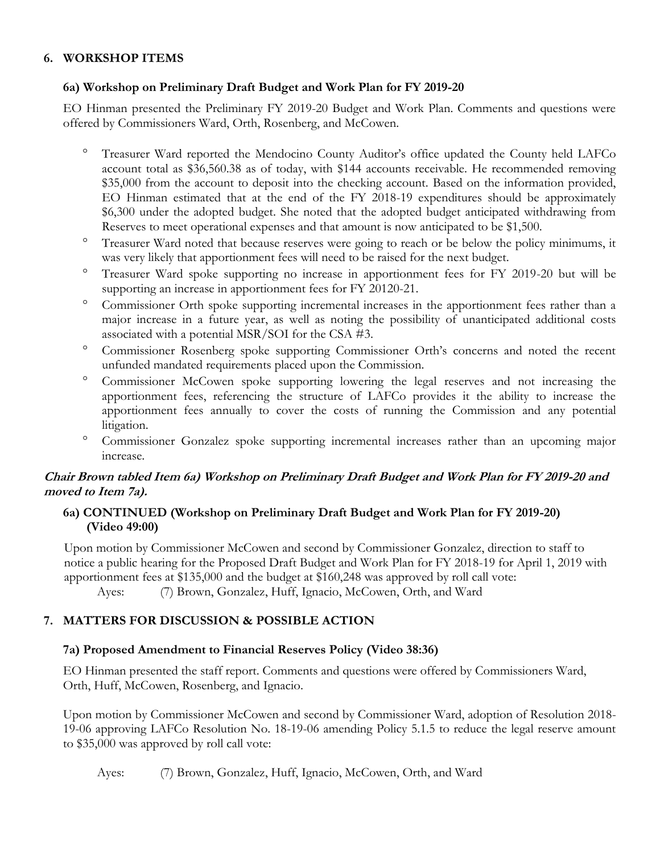## **6. WORKSHOP ITEMS**

#### **6a) Workshop on Preliminary Draft Budget and Work Plan for FY 2019-20**

EO Hinman presented the Preliminary FY 2019-20 Budget and Work Plan. Comments and questions were offered by Commissioners Ward, Orth, Rosenberg, and McCowen.

- Treasurer Ward reported the Mendocino County Auditor's office updated the County held LAFCo account total as \$36,560.38 as of today, with \$144 accounts receivable. He recommended removing \$35,000 from the account to deposit into the checking account. Based on the information provided, EO Hinman estimated that at the end of the FY 2018-19 expenditures should be approximately \$6,300 under the adopted budget. She noted that the adopted budget anticipated withdrawing from Reserves to meet operational expenses and that amount is now anticipated to be \$1,500.
- Treasurer Ward noted that because reserves were going to reach or be below the policy minimums, it was very likely that apportionment fees will need to be raised for the next budget.
- Treasurer Ward spoke supporting no increase in apportionment fees for FY 2019-20 but will be supporting an increase in apportionment fees for FY 20120-21.
- <sup>o</sup> Commissioner Orth spoke supporting incremental increases in the apportionment fees rather than a major increase in a future year, as well as noting the possibility of unanticipated additional costs associated with a potential MSR/SOI for the CSA #3.
- <sup>o</sup> Commissioner Rosenberg spoke supporting Commissioner Orth's concerns and noted the recent unfunded mandated requirements placed upon the Commission.
- <sup>o</sup> Commissioner McCowen spoke supporting lowering the legal reserves and not increasing the apportionment fees, referencing the structure of LAFCo provides it the ability to increase the apportionment fees annually to cover the costs of running the Commission and any potential litigation.
- Commissioner Gonzalez spoke supporting incremental increases rather than an upcoming major increase.

# **Chair Brown tabled Item 6a) Workshop on Preliminary Draft Budget and Work Plan for FY 2019-20 and moved to Item 7a).**

## **6a) CONTINUED (Workshop on Preliminary Draft Budget and Work Plan for FY 2019-20) (Video 49:00)**

Upon motion by Commissioner McCowen and second by Commissioner Gonzalez, direction to staff to notice a public hearing for the Proposed Draft Budget and Work Plan for FY 2018-19 for April 1, 2019 with apportionment fees at \$135,000 and the budget at \$160,248 was approved by roll call vote:

Ayes: (7) Brown, Gonzalez, Huff, Ignacio, McCowen, Orth, and Ward

# **7. MATTERS FOR DISCUSSION & POSSIBLE ACTION**

# **7a) Proposed Amendment to Financial Reserves Policy (Video 38:36)**

EO Hinman presented the staff report. Comments and questions were offered by Commissioners Ward, Orth, Huff, McCowen, Rosenberg, and Ignacio.

Upon motion by Commissioner McCowen and second by Commissioner Ward, adoption of Resolution 2018- 19-06 approving LAFCo Resolution No. 18-19-06 amending Policy 5.1.5 to reduce the legal reserve amount to \$35,000 was approved by roll call vote:

Ayes: (7) Brown, Gonzalez, Huff, Ignacio, McCowen, Orth, and Ward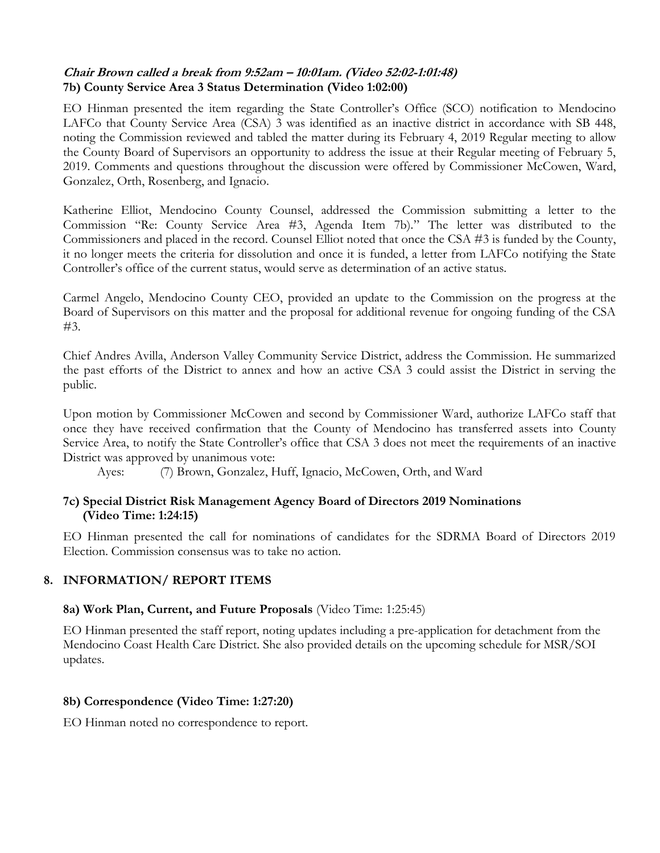# **Chair Brown called a break from 9:52am – 10:01am. (Video 52:02-1:01:48) 7b) County Service Area 3 Status Determination (Video 1:02:00)**

EO Hinman presented the item regarding the State Controller's Office (SCO) notification to Mendocino LAFCo that County Service Area (CSA) 3 was identified as an inactive district in accordance with SB 448, noting the Commission reviewed and tabled the matter during its February 4, 2019 Regular meeting to allow the County Board of Supervisors an opportunity to address the issue at their Regular meeting of February 5, 2019. Comments and questions throughout the discussion were offered by Commissioner McCowen, Ward, Gonzalez, Orth, Rosenberg, and Ignacio.

Katherine Elliot, Mendocino County Counsel, addressed the Commission submitting a letter to the Commission "Re: County Service Area #3, Agenda Item 7b)." The letter was distributed to the Commissioners and placed in the record. Counsel Elliot noted that once the CSA #3 is funded by the County, it no longer meets the criteria for dissolution and once it is funded, a letter from LAFCo notifying the State Controller's office of the current status, would serve as determination of an active status.

Carmel Angelo, Mendocino County CEO, provided an update to the Commission on the progress at the Board of Supervisors on this matter and the proposal for additional revenue for ongoing funding of the CSA #3.

Chief Andres Avilla, Anderson Valley Community Service District, address the Commission. He summarized the past efforts of the District to annex and how an active CSA 3 could assist the District in serving the public.

Upon motion by Commissioner McCowen and second by Commissioner Ward, authorize LAFCo staff that once they have received confirmation that the County of Mendocino has transferred assets into County Service Area, to notify the State Controller's office that CSA 3 does not meet the requirements of an inactive District was approved by unanimous vote:

Ayes: (7) Brown, Gonzalez, Huff, Ignacio, McCowen, Orth, and Ward

## **7c) Special District Risk Management Agency Board of Directors 2019 Nominations (Video Time: 1:24:15)**

EO Hinman presented the call for nominations of candidates for the SDRMA Board of Directors 2019 Election. Commission consensus was to take no action.

# **8. INFORMATION/ REPORT ITEMS**

#### **8a) Work Plan, Current, and Future Proposals** (Video Time: 1:25:45)

EO Hinman presented the staff report, noting updates including a pre-application for detachment from the Mendocino Coast Health Care District. She also provided details on the upcoming schedule for MSR/SOI updates.

#### **8b) Correspondence (Video Time: 1:27:20)**

EO Hinman noted no correspondence to report.